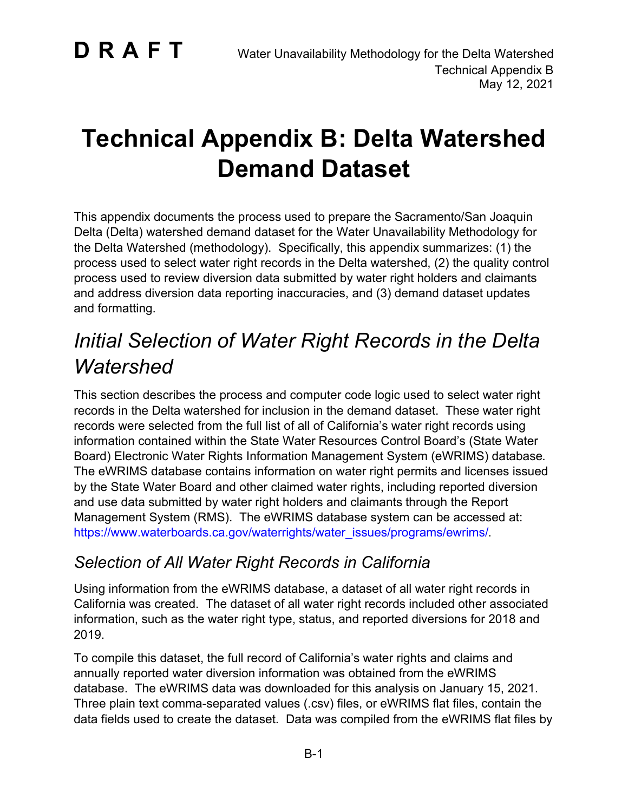# **Technical Appendix B: Delta Watershed Demand Dataset**

This appendix documents the process used to prepare the Sacramento/San Joaquin Delta (Delta) watershed demand dataset for the Water Unavailability Methodology for the Delta Watershed (methodology). Specifically, this appendix summarizes: (1) the process used to select water right records in the Delta watershed, (2) the quality control process used to review diversion data submitted by water right holders and claimants and address diversion data reporting inaccuracies, and (3) demand dataset updates and formatting.

## *Initial Selection of Water Right Records in the Delta Watershed*

This section describes the process and computer code logic used to select water right records in the Delta watershed for inclusion in the demand dataset. These water right records were selected from the full list of all of California's water right records using information contained within the State Water Resources Control Board's (State Water Board) Electronic Water Rights Information Management System (eWRIMS) database. The eWRIMS database contains information on water right permits and licenses issued by the State Water Board and other claimed water rights, including reported diversion and use data submitted by water right holders and claimants through the Report Management System (RMS). The eWRIMS database system can be accessed at: [https://www.waterboards.ca.gov/waterrights/water\\_issues/programs/ewrims/](https://www.waterboards.ca.gov/waterrights/water_issues/programs/ewrims/).

### *Selection of All Water Right Records in California*

Using information from the eWRIMS database, a dataset of all water right records in California was created. The dataset of all water right records included other associated information, such as the water right type, status, and reported diversions for 2018 and 2019.

To compile this dataset, the full record of California's water rights and claims and annually reported water diversion information was obtained from the eWRIMS database. The eWRIMS data was downloaded for this analysis on January 15, 2021. Three plain text comma-separated values (.csv) files, or eWRIMS flat files, contain the data fields used to create the dataset. Data was compiled from the eWRIMS flat files by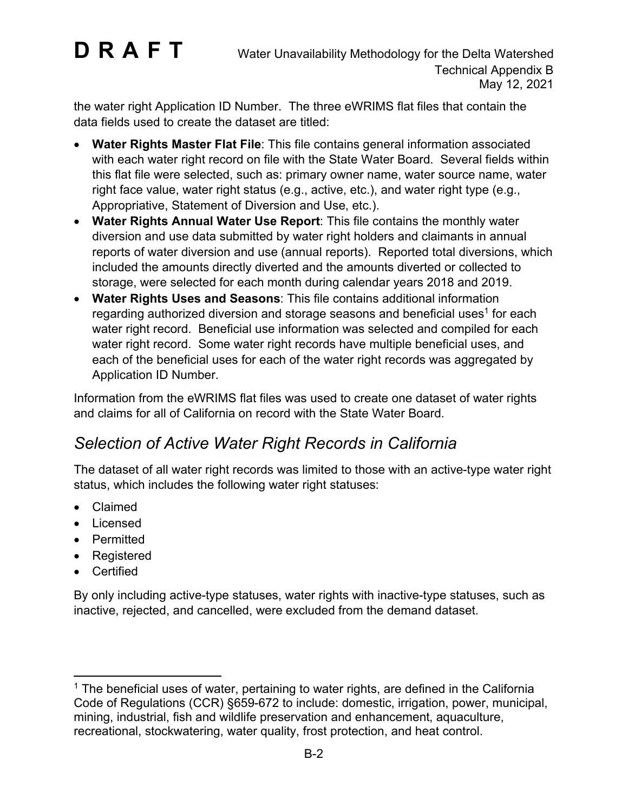the water right Application ID Number. The three eWRIMS flat files that contain the data fields used to create the dataset are titled:

- · **Water Rights Master Flat File**: This file contains general information associated with each water right record on file with the State Water Board. Several fields within this flat file were selected, such as: primary owner name, water source name, water right face value, water right status (e.g., active, etc.), and water right type (e.g., Appropriative, Statement of Diversion and Use, etc.).
- · **Water Rights Annual Water Use Report**: This file contains the monthly water diversion and use data submitted by water right holders and claimants in annual reports of water diversion and use (annual reports). Reported total diversions, which included the amounts directly diverted and the amounts diverted or collected to storage, were selected for each month during calendar years 2018 and 2019.
- · **Water Rights Uses and Seasons**: This file contains additional information regarding authorized diversion and storage seasons and beneficial uses $^{\rm 1}$  $^{\rm 1}$  $^{\rm 1}$  for each water right record. Beneficial use information was selected and compiled for each water right record. Some water right records have multiple beneficial uses, and each of the beneficial uses for each of the water right records was aggregated by Application ID Number.

Information from the eWRIMS flat files was used to create one dataset of water rights and claims for all of California on record with the State Water Board.

### *Selection of Active Water Right Records in California*

The dataset of all water right records was limited to those with an active-type water right status, which includes the following water right statuses:

- · Claimed
- · Licensed
- · Permitted
- · Registered
- · Certified

By only including active-type statuses, water rights with inactive-type statuses, such as inactive, rejected, and cancelled, were excluded from the demand dataset.

<span id="page-1-0"></span> $1$  The beneficial uses of water, pertaining to water rights, are defined in the California Code of Regulations (CCR) §659-672 to include: domestic, irrigation, power, municipal, mining, industrial, fish and wildlife preservation and enhancement, aquaculture, recreational, stockwatering, water quality, frost protection, and heat control.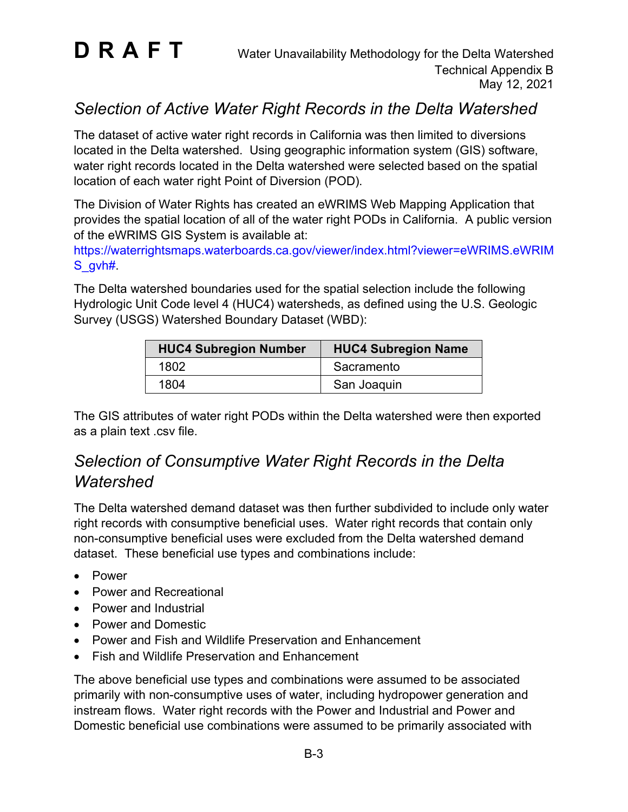

### *Selection of Active Water Right Records in the Delta Watershed*

The dataset of active water right records in California was then limited to diversions located in the Delta watershed. Using geographic information system (GIS) software, water right records located in the Delta watershed were selected based on the spatial location of each water right Point of Diversion (POD).

The Division of Water Rights has created an eWRIMS Web Mapping Application that provides the spatial location of all of the water right PODs in California. A public version of the eWRIMS GIS System is available at:

[https://waterrightsmaps.waterboards.ca.gov/viewer/index.html?viewer=eWRIMS.eWRIM](https://waterrightsmaps.waterboards.ca.gov/viewer/index.html?viewer=eWRIMS.eWRIMS_gvh) [S\\_gvh#.](https://waterrightsmaps.waterboards.ca.gov/viewer/index.html?viewer=eWRIMS.eWRIMS_gvh)

The Delta watershed boundaries used for the spatial selection include the following Hydrologic Unit Code level 4 (HUC4) watersheds, as defined using the U.S. Geologic Survey (USGS) Watershed Boundary Dataset (WBD):

| <b>HUC4 Subregion Number</b> | <b>HUC4 Subregion Name</b> |
|------------------------------|----------------------------|
| 1802                         | Sacramento                 |
| 1804                         | San Joaquin                |

The GIS attributes of water right PODs within the Delta watershed were then exported as a plain text .csv file.

### *Selection of Consumptive Water Right Records in the Delta Watershed*

The Delta watershed demand dataset was then further subdivided to include only water right records with consumptive beneficial uses. Water right records that contain only non-consumptive beneficial uses were excluded from the Delta watershed demand dataset. These beneficial use types and combinations include:

- · Power
- · Power and Recreational
- · Power and Industrial
- · Power and Domestic
- · Power and Fish and Wildlife Preservation and Enhancement
- · Fish and Wildlife Preservation and Enhancement

The above beneficial use types and combinations were assumed to be associated primarily with non-consumptive uses of water, including hydropower generation and instream flows. Water right records with the Power and Industrial and Power and Domestic beneficial use combinations were assumed to be primarily associated with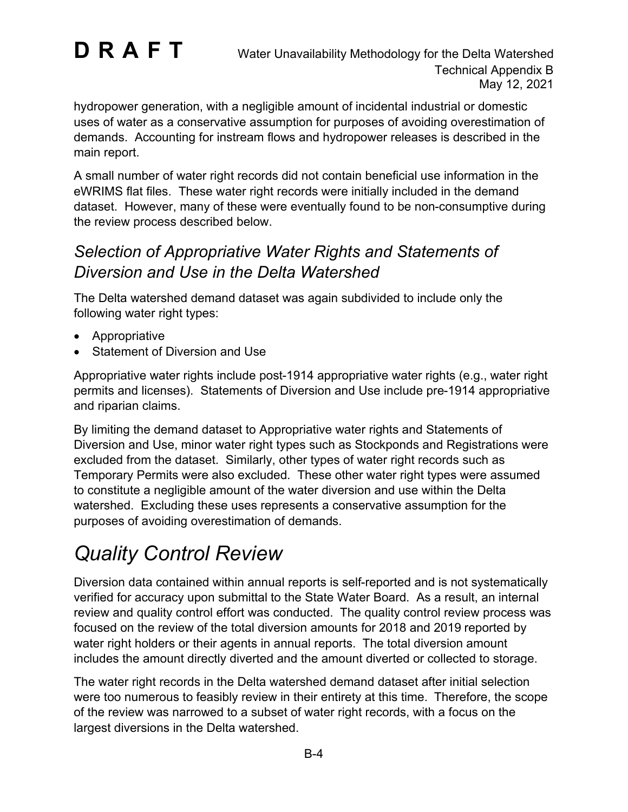hydropower generation, with a negligible amount of incidental industrial or domestic uses of water as a conservative assumption for purposes of avoiding overestimation of demands. Accounting for instream flows and hydropower releases is described in the main report.

A small number of water right records did not contain beneficial use information in the eWRIMS flat files. These water right records were initially included in the demand dataset. However, many of these were eventually found to be non-consumptive during the review process described below.

### *Selection of Appropriative Water Rights and Statements of Diversion and Use in the Delta Watershed*

The Delta watershed demand dataset was again subdivided to include only the following water right types:

- · Appropriative
- Statement of Diversion and Use

Appropriative water rights include post-1914 appropriative water rights (e.g., water right permits and licenses). Statements of Diversion and Use include pre-1914 appropriative and riparian claims.

By limiting the demand dataset to Appropriative water rights and Statements of Diversion and Use, minor water right types such as Stockponds and Registrations were excluded from the dataset. Similarly, other types of water right records such as Temporary Permits were also excluded. These other water right types were assumed to constitute a negligible amount of the water diversion and use within the Delta watershed. Excluding these uses represents a conservative assumption for the purposes of avoiding overestimation of demands.

## *Quality Control Review*

Diversion data contained within annual reports is self-reported and is not systematically verified for accuracy upon submittal to the State Water Board. As a result, an internal review and quality control effort was conducted. The quality control review process was focused on the review of the total diversion amounts for 2018 and 2019 reported by water right holders or their agents in annual reports. The total diversion amount includes the amount directly diverted and the amount diverted or collected to storage.

The water right records in the Delta watershed demand dataset after initial selection were too numerous to feasibly review in their entirety at this time. Therefore, the scope of the review was narrowed to a subset of water right records, with a focus on the largest diversions in the Delta watershed.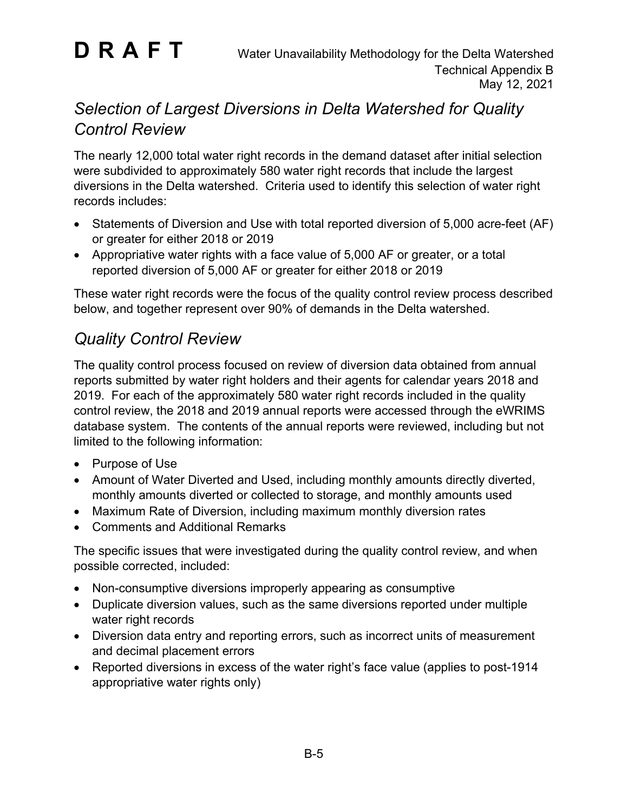### *Selection of Largest Diversions in Delta Watershed for Quality Control Review*

The nearly 12,000 total water right records in the demand dataset after initial selection were subdivided to approximately 580 water right records that include the largest diversions in the Delta watershed. Criteria used to identify this selection of water right records includes:

- Statements of Diversion and Use with total reported diversion of 5,000 acre-feet (AF) or greater for either 2018 or 2019
- · Appropriative water rights with a face value of 5,000 AF or greater, or a total reported diversion of 5,000 AF or greater for either 2018 or 2019

These water right records were the focus of the quality control review process described below, and together represent over 90% of demands in the Delta watershed.

### *Quality Control Review*

The quality control process focused on review of diversion data obtained from annual reports submitted by water right holders and their agents for calendar years 2018 and 2019. For each of the approximately 580 water right records included in the quality control review, the 2018 and 2019 annual reports were accessed through the eWRIMS database system. The contents of the annual reports were reviewed, including but not limited to the following information:

- · Purpose of Use
- Amount of Water Diverted and Used, including monthly amounts directly diverted, monthly amounts diverted or collected to storage, and monthly amounts used
- · Maximum Rate of Diversion, including maximum monthly diversion rates
- · Comments and Additional Remarks

The specific issues that were investigated during the quality control review, and when possible corrected, included:

- · Non-consumptive diversions improperly appearing as consumptive
- · Duplicate diversion values, such as the same diversions reported under multiple water right records
- · Diversion data entry and reporting errors, such as incorrect units of measurement and decimal placement errors
- · Reported diversions in excess of the water right's face value (applies to post-1914 appropriative water rights only)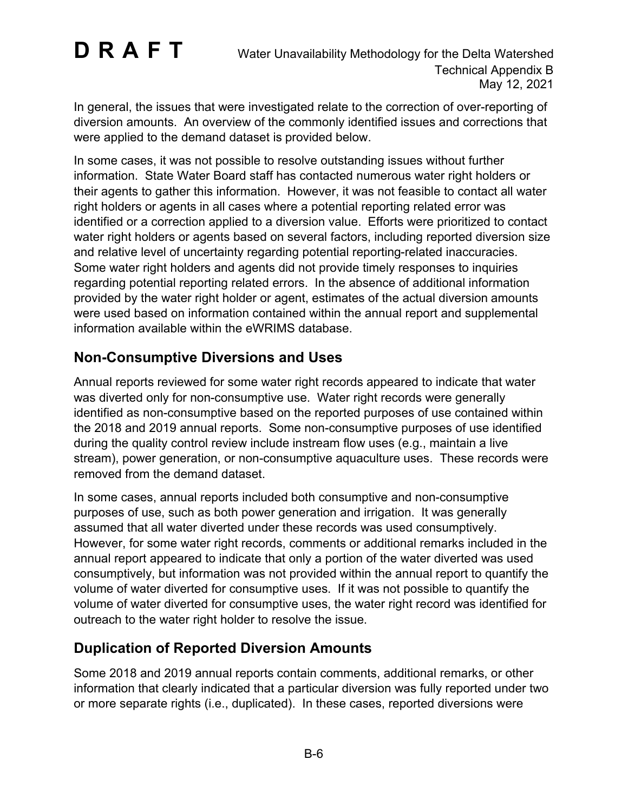In general, the issues that were investigated relate to the correction of over-reporting of diversion amounts. An overview of the commonly identified issues and corrections that were applied to the demand dataset is provided below.

In some cases, it was not possible to resolve outstanding issues without further information. State Water Board staff has contacted numerous water right holders or their agents to gather this information. However, it was not feasible to contact all water right holders or agents in all cases where a potential reporting related error was identified or a correction applied to a diversion value. Efforts were prioritized to contact water right holders or agents based on several factors, including reported diversion size and relative level of uncertainty regarding potential reporting-related inaccuracies. Some water right holders and agents did not provide timely responses to inquiries regarding potential reporting related errors. In the absence of additional information provided by the water right holder or agent, estimates of the actual diversion amounts were used based on information contained within the annual report and supplemental information available within the eWRIMS database.

#### **Non-Consumptive Diversions and Uses**

Annual reports reviewed for some water right records appeared to indicate that water was diverted only for non-consumptive use. Water right records were generally identified as non-consumptive based on the reported purposes of use contained within the 2018 and 2019 annual reports. Some non-consumptive purposes of use identified during the quality control review include instream flow uses (e.g., maintain a live stream), power generation, or non-consumptive aquaculture uses. These records were removed from the demand dataset.

In some cases, annual reports included both consumptive and non-consumptive purposes of use, such as both power generation and irrigation. It was generally assumed that all water diverted under these records was used consumptively. However, for some water right records, comments or additional remarks included in the annual report appeared to indicate that only a portion of the water diverted was used consumptively, but information was not provided within the annual report to quantify the volume of water diverted for consumptive uses. If it was not possible to quantify the volume of water diverted for consumptive uses, the water right record was identified for outreach to the water right holder to resolve the issue.

#### **Duplication of Reported Diversion Amounts**

Some 2018 and 2019 annual reports contain comments, additional remarks, or other information that clearly indicated that a particular diversion was fully reported under two or more separate rights (i.e., duplicated). In these cases, reported diversions were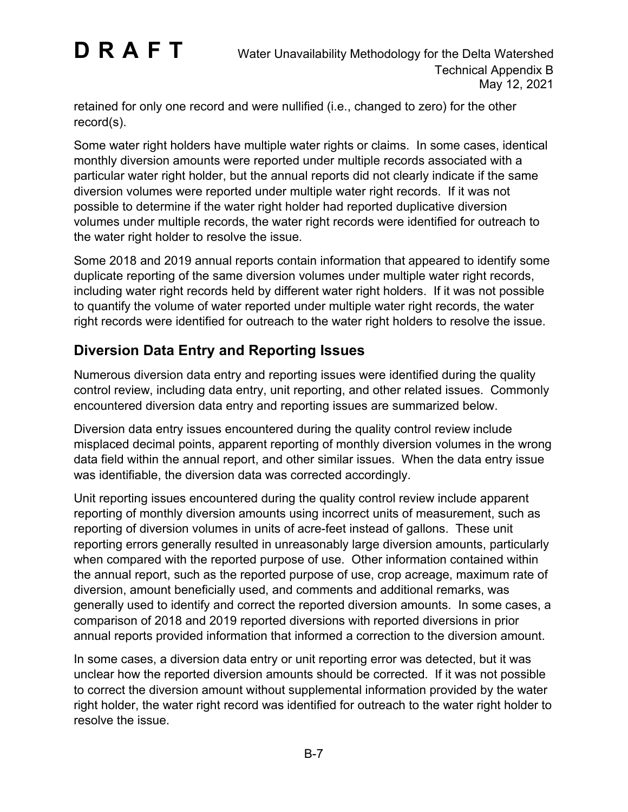retained for only one record and were nullified (i.e., changed to zero) for the other record(s).

Some water right holders have multiple water rights or claims. In some cases, identical monthly diversion amounts were reported under multiple records associated with a particular water right holder, but the annual reports did not clearly indicate if the same diversion volumes were reported under multiple water right records. If it was not possible to determine if the water right holder had reported duplicative diversion volumes under multiple records, the water right records were identified for outreach to the water right holder to resolve the issue.

Some 2018 and 2019 annual reports contain information that appeared to identify some duplicate reporting of the same diversion volumes under multiple water right records, including water right records held by different water right holders. If it was not possible to quantify the volume of water reported under multiple water right records, the water right records were identified for outreach to the water right holders to resolve the issue.

#### **Diversion Data Entry and Reporting Issues**

Numerous diversion data entry and reporting issues were identified during the quality control review, including data entry, unit reporting, and other related issues. Commonly encountered diversion data entry and reporting issues are summarized below.

Diversion data entry issues encountered during the quality control review include misplaced decimal points, apparent reporting of monthly diversion volumes in the wrong data field within the annual report, and other similar issues. When the data entry issue was identifiable, the diversion data was corrected accordingly.

Unit reporting issues encountered during the quality control review include apparent reporting of monthly diversion amounts using incorrect units of measurement, such as reporting of diversion volumes in units of acre-feet instead of gallons. These unit reporting errors generally resulted in unreasonably large diversion amounts, particularly when compared with the reported purpose of use. Other information contained within the annual report, such as the reported purpose of use, crop acreage, maximum rate of diversion, amount beneficially used, and comments and additional remarks, was generally used to identify and correct the reported diversion amounts. In some cases, a comparison of 2018 and 2019 reported diversions with reported diversions in prior annual reports provided information that informed a correction to the diversion amount.

In some cases, a diversion data entry or unit reporting error was detected, but it was unclear how the reported diversion amounts should be corrected. If it was not possible to correct the diversion amount without supplemental information provided by the water right holder, the water right record was identified for outreach to the water right holder to resolve the issue.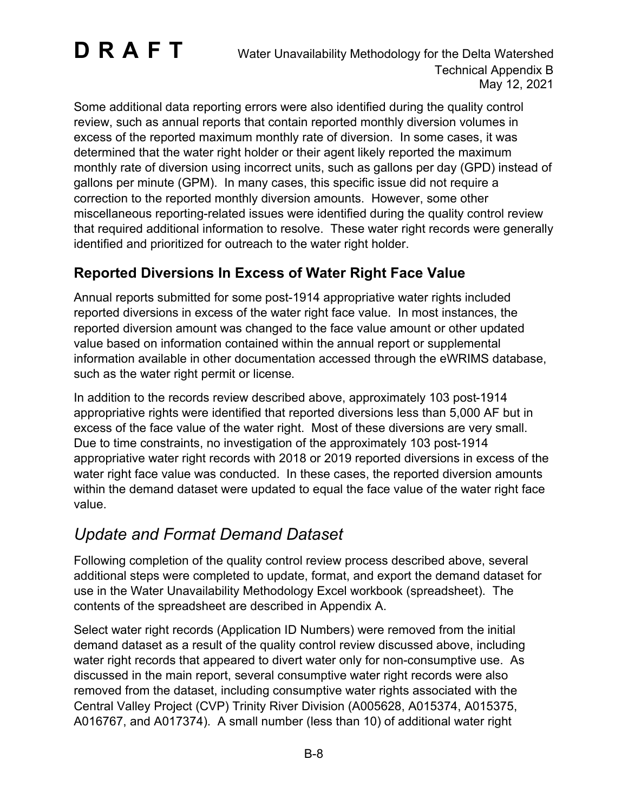Some additional data reporting errors were also identified during the quality control review, such as annual reports that contain reported monthly diversion volumes in excess of the reported maximum monthly rate of diversion. In some cases, it was determined that the water right holder or their agent likely reported the maximum monthly rate of diversion using incorrect units, such as gallons per day (GPD) instead of gallons per minute (GPM). In many cases, this specific issue did not require a correction to the reported monthly diversion amounts. However, some other miscellaneous reporting-related issues were identified during the quality control review that required additional information to resolve. These water right records were generally identified and prioritized for outreach to the water right holder.

#### **Reported Diversions In Excess of Water Right Face Value**

Annual reports submitted for some post-1914 appropriative water rights included reported diversions in excess of the water right face value. In most instances, the reported diversion amount was changed to the face value amount or other updated value based on information contained within the annual report or supplemental information available in other documentation accessed through the eWRIMS database, such as the water right permit or license.

In addition to the records review described above, approximately 103 post-1914 appropriative rights were identified that reported diversions less than 5,000 AF but in excess of the face value of the water right. Most of these diversions are very small. Due to time constraints, no investigation of the approximately 103 post-1914 appropriative water right records with 2018 or 2019 reported diversions in excess of the water right face value was conducted. In these cases, the reported diversion amounts within the demand dataset were updated to equal the face value of the water right face value.

### *Update and Format Demand Dataset*

Following completion of the quality control review process described above, several additional steps were completed to update, format, and export the demand dataset for use in the Water Unavailability Methodology Excel workbook (spreadsheet). The contents of the spreadsheet are described in Appendix A.

Select water right records (Application ID Numbers) were removed from the initial demand dataset as a result of the quality control review discussed above, including water right records that appeared to divert water only for non-consumptive use. As discussed in the main report, several consumptive water right records were also removed from the dataset, including consumptive water rights associated with the Central Valley Project (CVP) Trinity River Division (A005628, A015374, A015375, A016767, and A017374). A small number (less than 10) of additional water right